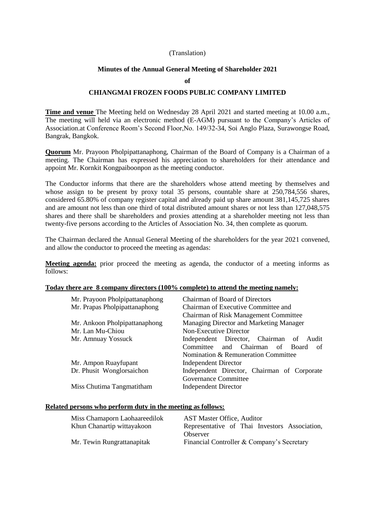### (Translation)

### **Minutes of the Annual General Meeting of Shareholder 2021**

#### **of**

## **CHIANGMAI FROZEN FOODS PUBLIC COMPANY LIMITED**

**Time and venue** The Meeting held on Wednesday 28 April 2021 and started meeting at 10.00 a.m., The meeting will held via an electronic method (E-AGM) pursuant to the Company's Articles of Association.at Conference Room's Second Floor,No. 149/32-34, Soi Anglo Plaza, Surawongse Road, Bangrak, Bangkok.

**Quorum** Mr. Prayoon Pholpipattanaphong, Chairman of the Board of Company is a Chairman of a meeting. The Chairman has expressed his appreciation to shareholders for their attendance and appoint Mr. Kornkit Kongpaiboonpon as the meeting conductor.

The Conductor informs that there are the shareholders whose attend meeting by themselves and whose assign to be present by proxy total 35 persons, countable share at  $250,784,556$  shares, considered 65.80% of company register capital and already paid up share amount 381,145,725 shares and are amount not less than one third of total distributed amount shares or not less than 127,048,575 shares and there shall be shareholders and proxies attending at a shareholder meeting not less than twenty-five persons according to the Articles of Association No. 34, then complete as quorum.

The Chairman declared the Annual General Meeting of the shareholders for the year 2021 convened, and allow the conductor to proceed the meeting as agendas:

**Meeting agenda:** prior proceed the meeting as agenda, the conductor of a meeting informs as follows:

### **Today there are 8 company directors (100% complete) to attend the meeting namely:**

| Mr. Prayoon Pholpipattanaphong | <b>Chairman of Board of Directors</b>       |  |  |  |  |
|--------------------------------|---------------------------------------------|--|--|--|--|
| Mr. Prapas Pholpipattanaphong  | Chairman of Executive Committee and         |  |  |  |  |
|                                | Chairman of Risk Management Committee       |  |  |  |  |
| Mr. Ankoon Pholpipattanaphong  | Managing Director and Marketing Manager     |  |  |  |  |
| Mr. Lan Mu-Chiou               | Non-Executive Director                      |  |  |  |  |
| Mr. Amnuay Yossuck             | Independent Director, Chairman of Audit     |  |  |  |  |
|                                | Committee<br>and Chairman of Board<br>οf    |  |  |  |  |
|                                | Nomination & Remuneration Committee         |  |  |  |  |
| Mr. Ampon Ruayfupant           | <b>Independent Director</b>                 |  |  |  |  |
| Dr. Phusit Wonglorsaichon      | Independent Director, Chairman of Corporate |  |  |  |  |
|                                | Governance Committee                        |  |  |  |  |
| Miss Chutima Tangmatitham      | <b>Independent Director</b>                 |  |  |  |  |

#### **Related persons who perform duty in the meeting as follows:**

| Miss Chamaporn Laohaareedilok | <b>AST Master Office, Auditor</b>             |
|-------------------------------|-----------------------------------------------|
| Khun Chanartip wittayakoon    | Representative of Thai Investors Association, |
|                               | Observer                                      |
| Mr. Tewin Rungrattanapitak    | Financial Controller & Company's Secretary    |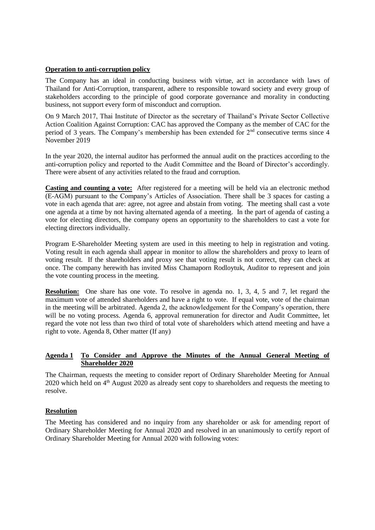# **Operation to anti-corruption policy**

The Company has an ideal in conducting business with virtue, act in accordance with laws of Thailand for Anti-Corruption, transparent, adhere to responsible toward society and every group of stakeholders according to the principle of good corporate governance and morality in conducting business, not support every form of misconduct and corruption.

On 9 March 2017, Thai Institute of Director as the secretary of Thailand's Private Sector Collective Action Coalition Against Corruption: CAC has approved the Company as the member of CAC for the period of 3 years. The Company's membership has been extended for 2<sup>nd</sup> consecutive terms since 4 November 2019

In the year 2020, the internal auditor has performed the annual audit on the practices according to the anti-corruption policy and reported to the Audit Committee and the Board of Director's accordingly. There were absent of any activities related to the fraud and corruption.

**Casting and counting a vote:** After registered for a meeting will be held via an electronic method (E-AGM) pursuant to the Company's Articles of Association. There shall be 3 spaces for casting a vote in each agenda that are: agree, not agree and abstain from voting. The meeting shall cast a vote one agenda at a time by not having alternated agenda of a meeting. In the part of agenda of casting a vote for electing directors, the company opens an opportunity to the shareholders to cast a vote for electing directors individually.

Program E-Shareholder Meeting system are used in this meeting to help in registration and voting. Voting result in each agenda shall appear in monitor to allow the shareholders and proxy to learn of voting result. If the shareholders and proxy see that voting result is not correct, they can check at once. The company herewith has invited Miss Chamaporn Rodloytuk, Auditor to represent and join the vote counting process in the meeting.

**Resolution:** One share has one vote. To resolve in agenda no. 1, 3, 4, 5 and 7, let regard the maximum vote of attended shareholders and have a right to vote. If equal vote, vote of the chairman in the meeting will be arbitrated. Agenda 2, the acknowledgement for the Company's operation, there will be no voting process. Agenda 6, approval remuneration for director and Audit Committee, let regard the vote not less than two third of total vote of shareholders which attend meeting and have a right to vote. Agenda 8, Other matter (If any)

# **Agenda 1 To Consider and Approve the Minutes of the Annual General Meeting of Shareholder 2020**

The Chairman, requests the meeting to consider report of Ordinary Shareholder Meeting for Annual 2020 which held on 4<sup>th</sup> August 2020 as already sent copy to shareholders and requests the meeting to resolve.

# **Resolution**

The Meeting has considered and no inquiry from any shareholder or ask for amending report of Ordinary Shareholder Meeting for Annual 2020 and resolved in an unanimously to certify report of Ordinary Shareholder Meeting for Annual 2020 with following votes: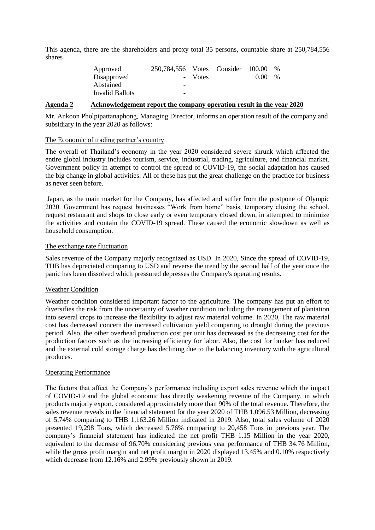This agenda, there are the shareholders and proxy total 35 persons, countable share at 250,784,556 shares

| Approved        | 250.784.556 Votes Consider 100.00 |         |      | $\frac{0}{0}$ |
|-----------------|-----------------------------------|---------|------|---------------|
| Disapproved     |                                   | - Votes | 0.00 | $\frac{0}{0}$ |
| Abstained       | $\overline{\phantom{a}}$          |         |      |               |
| Invalid Ballots | $\overline{\phantom{a}}$          |         |      |               |

### **Agenda 2 Acknowledgement report the company operation result in the year 2020**

Mr. Ankoon Pholpipattanaphong, Managing Director, informs an operation result of the company and subsidiary in the year 2020 as follows:

### The Economic of trading partner's country

The overall of Thailand's economy in the year 2020 considered severe shrunk which affected the entire global industry includes tourism, service, industrial, trading, agriculture, and financial market. Government policy in attempt to control the spread of COVID-19, the social adaptation has caused the big change in global activities. All of these has put the great challenge on the practice for business as never seen before.

Japan, as the main market for the Company, has affected and suffer from the postpone of Olympic 2020. Government has request businesses "Work from home" basis, temporary closing the school, request restaurant and shops to close early or even temporary closed down, in attempted to minimize the activities and contain the COVID-19 spread. These caused the economic slowdown as well as household consumption.

#### The exchange rate fluctuation

Sales revenue of the Company majorly recognized as USD. In 2020, Since the spread of COVID-19, THB has depreciated comparing to USD and reverse the trend by the second half of the year once the panic has been dissolved which pressured depresses the Company's operating results.

## Weather Condition

Weather condition considered important factor to the agriculture. The company has put an effort to diversifies the risk from the uncertainty of weather condition including the management of plantation into several crops to increase the flexibility to adjust raw material volume. In 2020, The raw material cost has decreased concern the increased cultivation yield comparing to drought during the previous period. Also, the other overhead production cost per unit has decreased as the decreasing cost for the production factors such as the increasing efficiency for labor. Also, the cost for bunker has reduced and the external cold storage charge has declining due to the balancing inventory with the agricultural produces.

#### Operating Performance

The factors that affect the Company's performance including export sales revenue which the impact of COVID-19 and the global economic has directly weakening revenue of the Company, in which products majorly export, considered approximately more than 90% of the total revenue. Therefore, the sales revenue reveals in the financial statement for the year 2020 of THB 1,096.53 Million, decreasing of 5.74% comparing to THB 1,163.26 Million indicated in 2019. Also, total sales volume of 2020 presented 19,298 Tons, which decreased 5.76% comparing to 20,458 Tons in previous year. The company's financial statement has indicated the net profit THB 1.15 Million in the year 2020, equivalent to the decrease of 96.70% considering previous year performance of THB 34.76 Million, while the gross profit margin and net profit margin in 2020 displayed 13.45% and 0.10% respectively which decrease from 12.16% and 2.99% previously shown in 2019.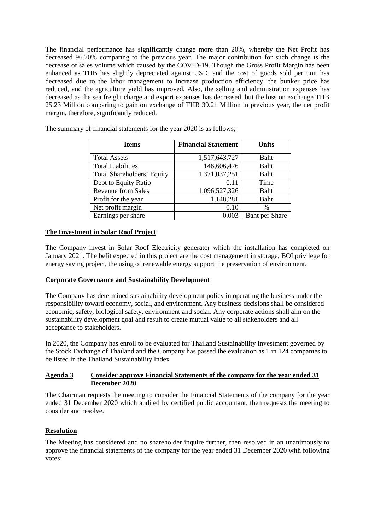The financial performance has significantly change more than 20%, whereby the Net Profit has decreased 96.70% comparing to the previous year. The major contribution for such change is the decrease of sales volume which caused by the COVID-19. Though the Gross Profit Margin has been enhanced as THB has slightly depreciated against USD, and the cost of goods sold per unit has decreased due to the labor management to increase production efficiency, the bunker price has reduced, and the agriculture yield has improved. Also, the selling and administration expenses has decreased as the sea freight charge and export expenses has decreased, but the loss on exchange THB 25.23 Million comparing to gain on exchange of THB 39.21 Million in previous year, the net profit margin, therefore, significantly reduced.

| <b>Items</b>               | <b>Financial Statement</b> | <b>Units</b>          |
|----------------------------|----------------------------|-----------------------|
| <b>Total Assets</b>        | 1,517,643,727              | Baht                  |
| <b>Total Liabilities</b>   | 146,606,476                | Baht                  |
| Total Shareholders' Equity | 1,371,037,251              | <b>Baht</b>           |
| Debt to Equity Ratio       | 0.11                       | Time                  |
| <b>Revenue from Sales</b>  | 1,096,527,326              | <b>Baht</b>           |
| Profit for the year        | 1,148,281                  | <b>Baht</b>           |
| Net profit margin          | 0.10                       | $\%$                  |
| Earnings per share         | 0.003                      | <b>Baht per Share</b> |

The summary of financial statements for the year 2020 is as follows;

# **The Investment in Solar Roof Project**

The Company invest in Solar Roof Electricity generator which the installation has completed on January 2021. The befit expected in this project are the cost management in storage, BOI privilege for energy saving project, the using of renewable energy support the preservation of environment.

## **Corporate Governance and Sustainability Development**

The Company has determined sustainability development policy in operating the business under the responsibility toward economy, social, and environment. Any business decisions shall be considered economic, safety, biological safety, environment and social. Any corporate actions shall aim on the sustainability development goal and result to create mutual value to all stakeholders and all acceptance to stakeholders.

In 2020, the Company has enroll to be evaluated for Thailand Sustainability Investment governed by the Stock Exchange of Thailand and the Company has passed the evaluation as 1 in 124 companies to be listed in the Thailand Sustainability Index

# **Agenda 3 Consider approve Financial Statements of the company for the year ended 31 December 2020**

The Chairman requests the meeting to consider the Financial Statements of the company for the year ended 31 December 2020 which audited by certified public accountant, then requests the meeting to consider and resolve.

## **Resolution**

The Meeting has considered and no shareholder inquire further, then resolved in an unanimously to approve the financial statements of the company for the year ended 31 December 2020 with following votes: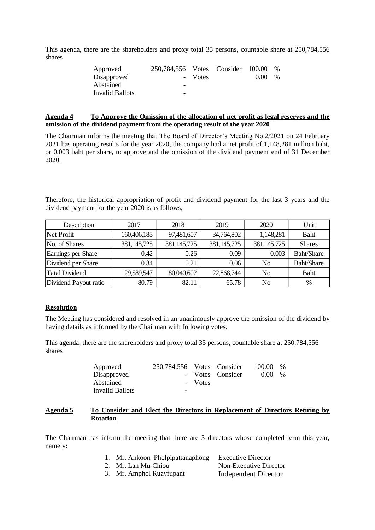This agenda, there are the shareholders and proxy total 35 persons, countable share at 250,784,556 shares

| Approved        | 250,784,556 Votes Consider 100.00 |         |      | $\%$ |
|-----------------|-----------------------------------|---------|------|------|
| Disapproved     |                                   | - Votes | 0.00 | $\%$ |
| Abstained       | -                                 |         |      |      |
| Invalid Ballots | -                                 |         |      |      |

# **Agenda 4 To Approve the Omission of the allocation of net profit as legal reserves and the omission of the dividend payment from the operating result of the year 2020**

The Chairman informs the meeting that The Board of Director's Meeting No.2/2021 on 24 February 2021 has operating results for the year 2020, the company had a net profit of 1,148,281 million baht, or 0.003 baht per share, to approve and the omission of the dividend payment end of 31 December 2020.

Therefore, the historical appropriation of profit and dividend payment for the last 3 years and the dividend payment for the year 2020 is as follows;

| Description           | 2017        | 2018        | 2019          | 2020           | Unit          |
|-----------------------|-------------|-------------|---------------|----------------|---------------|
| Net Profit            | 160,406,185 | 97,481,607  | 34,764,802    | 1,148,281      | Baht          |
| No. of Shares         | 381,145,725 | 381,145,725 | 381, 145, 725 | 381,145,725    | <b>Shares</b> |
| Earnings per Share    | 0.42        | 0.26        | 0.09          | 0.003          | Baht/Share    |
| Dividend per Share    | 0.34        | 0.21        | 0.06          | N <sub>0</sub> | Baht/Share    |
| <b>Tatal Dividend</b> | 129,589,547 | 80,040,602  | 22,868,744    | No             | Baht          |
| Dividend Payout ratio | 80.79       | 82.11       | 65.78         | No             | %             |

## **Resolution**

The Meeting has considered and resolved in an unanimously approve the omission of the dividend by having details as informed by the Chairman with following votes:

This agenda, there are the shareholders and proxy total 35 persons, countable share at 250,784,556 shares

| Approved        | 250.784.556 Votes Consider |         |                  | 100.00 | $\%$ |
|-----------------|----------------------------|---------|------------------|--------|------|
| Disapproved     |                            |         | - Votes Consider | 0.00   | $\%$ |
| Abstained       |                            | - Votes |                  |        |      |
| Invalid Ballots | $\overline{\phantom{0}}$   |         |                  |        |      |

## **Agenda 5 To Consider and Elect the Directors in Replacement of Directors Retiring by Rotation**

The Chairman has inform the meeting that there are 3 directors whose completed term this year, namely:

| Mr. Ankoon Pholpipattanaphong | <b>Executive Director</b> |
|-------------------------------|---------------------------|
| 2. Mr. Lan Mu-Chiou           | Non-Executive Director    |

3. Mr. Amphol Ruayfupant Independent Director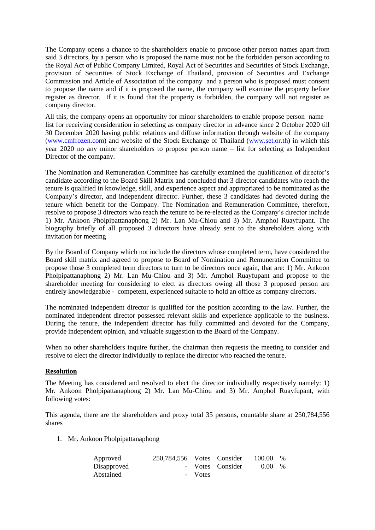The Company opens a chance to the shareholders enable to propose other person names apart from said 3 directors, by a person who is proposed the name must not be the forbidden person according to the Royal Act of Public Company Limited, Royal Act of Securities and Securities of Stock Exchange, provision of Securities of Stock Exchange of Thailand, provision of Securities and Exchange Commission and Article of Association of the company and a person who is proposed must consent to propose the name and if it is proposed the name, the company will examine the property before register as director. If it is found that the property is forbidden, the company will not register as company director.

All this, the company opens an opportunity for minor shareholders to enable propose person name – list for receiving consideration in selecting as company director in advance since 2 October 2020 till 30 December 2020 having public relations and diffuse information through website of the company [\(www.cmfrozen.com\)](http://www.cmfrozen.com/) and website of the Stock Exchange of Thailand [\(www.set.or.th\)](http://www.set.or.th/) in which this year 2020 no any minor shareholders to propose person name – list for selecting as Independent Director of the company.

The Nomination and Remuneration Committee has carefully examined the qualification of director's candidate according to the Board Skill Matrix and concluded that 3 director candidates who reach the tenure is qualified in knowledge, skill, and experience aspect and appropriated to be nominated as the Company's director, and independent director. Further, these 3 candidates had devoted during the tenure which benefit for the Company. The Nomination and Remuneration Committee, therefore, resolve to propose 3 directors who reach the tenure to be re-elected as the Company's director include 1) Mr. Ankoon Pholpipattanaphong 2) Mr. Lan Mu-Chiou and 3) Mr. Amphol Ruayfupant. The biography briefly of all proposed 3 directors have already sent to the shareholders along with invitation for meeting

By the Board of Company which not include the directors whose completed term, have considered the Board skill matrix and agreed to propose to Board of Nomination and Remuneration Committee to propose those 3 completed term directors to turn to be directors once again, that are: 1) Mr. Ankoon Pholpipattanaphong 2) Mr. Lan Mu-Chiou and 3) Mr. Amphol Ruayfupant and propose to the shareholder meeting for considering to elect as directors owing all those 3 proposed person are entirely knowledgeable - competent, experienced suitable to hold an office as company directors.

The nominated independent director is qualified for the position according to the law. Further, the nominated independent director possessed relevant skills and experience applicable to the business. During the tenure, the independent director has fully committed and devoted for the Company, provide independent opinion, and valuable suggestion to the Board of the Company.

When no other shareholders inquire further, the chairman then requests the meeting to consider and resolve to elect the director individually to replace the director who reached the tenure.

## **Resolution**

The Meeting has considered and resolved to elect the director individually respectively namely: 1) Mr. Ankoon Pholpipattanaphong 2) Mr. Lan Mu-Chiou and 3) Mr. Amphol Ruayfupant, with following votes:

This agenda, there are the shareholders and proxy total 35 persons, countable share at 250,784,556 shares

1. Mr. Ankoon Pholpipattanaphong

| Approved    | 250,784,556 Votes Consider |         |                  | 100.00 | $\frac{0}{0}$ |
|-------------|----------------------------|---------|------------------|--------|---------------|
| Disapproved |                            |         | - Votes Consider | 0.00   | $\%$          |
| Abstained   |                            | - Votes |                  |        |               |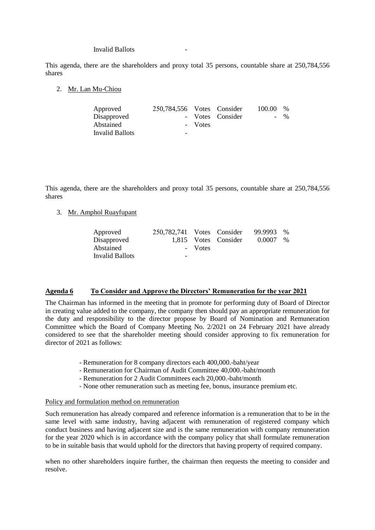#### Invalid Ballots -

This agenda, there are the shareholders and proxy total 35 persons, countable share at 250,784,556 shares

2. Mr. Lan Mu-Chiou

| Approved        | 250,784,556 Votes Consider |         |                  | 100.00 | $\frac{0}{0}$ |
|-----------------|----------------------------|---------|------------------|--------|---------------|
| Disapproved     |                            |         | - Votes Consider |        | $-$ %         |
| Abstained       |                            | - Votes |                  |        |               |
| Invalid Ballots | $\overline{\phantom{0}}$   |         |                  |        |               |

This agenda, there are the shareholders and proxy total 35 persons, countable share at 250,784,556 shares

3. Mr. Amphol Ruayfupant

| Approved        | 250,782,741 Votes Consider |         |                      | 99.9993 % |      |
|-----------------|----------------------------|---------|----------------------|-----------|------|
| Disapproved     |                            |         | 1,815 Votes Consider | 0.0007    | $\%$ |
| Abstained       |                            | - Votes |                      |           |      |
| Invalid Ballots | -                          |         |                      |           |      |

#### **Agenda 6 To Consider and Approve the Directors' Remuneration for the year 2021**

The Chairman has informed in the meeting that in promote for performing duty of Board of Director in creating value added to the company, the company then should pay an appropriate remuneration for the duty and responsibility to the director propose by Board of Nomination and Remuneration Committee which the Board of Company Meeting No. 2/2021 on 24 February 2021 have already considered to see that the shareholder meeting should consider approving to fix remuneration for director of 2021 as follows:

- Remuneration for 8 company directors each 400,000.-baht/year
- Remuneration for Chairman of Audit Committee 40,000.-baht/month
- Remuneration for 2 Audit Committees each 20,000.-baht/month
- None other remuneration such as meeting fee, bonus, insurance premium etc.

#### Policy and formulation method on remuneration

Such remuneration has already compared and reference information is a remuneration that to be in the same level with same industry, having adjacent with remuneration of registered company which conduct business and having adjacent size and is the same remuneration with company remuneration for the year 2020 which is in accordance with the company policy that shall formulate remuneration to be in suitable basis that would uphold for the directors that having property of required company.

when no other shareholders inquire further, the chairman then requests the meeting to consider and resolve.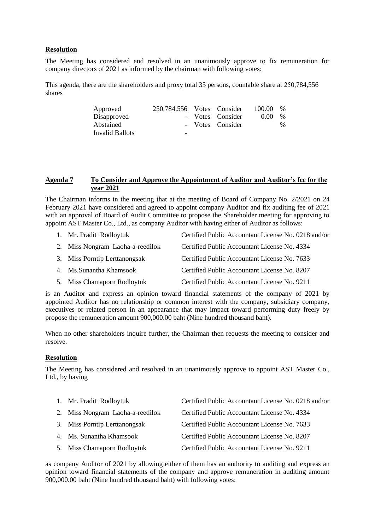# **Resolution**

The Meeting has considered and resolved in an unanimously approve to fix remuneration for company directors of 2021 as informed by the chairman with following votes:

This agenda, there are the shareholders and proxy total 35 persons, countable share at 250,784,556 shares

| Approved               | 250.784.556 Votes Consider |                  | 100.00 | $\%$ |
|------------------------|----------------------------|------------------|--------|------|
| Disapproved            |                            | - Votes Consider | 0.00   | $\%$ |
| Abstained              |                            | - Votes Consider |        | $\%$ |
| <b>Invalid Ballots</b> | -                          |                  |        |      |

## **Agenda 7 To Consider and Approve the Appointment of Auditor and Auditor's fee for the year 2021**

The Chairman informs in the meeting that at the meeting of Board of Company No. 2/2021 on 24 February 2021 have considered and agreed to appoint company Auditor and fix auditing fee of 2021 with an approval of Board of Audit Committee to propose the Shareholder meeting for approving to appoint AST Master Co., Ltd., as company Auditor with having either of Auditor as follows:

| 1. Mr. Pradit Rodloytuk          | Certified Public Accountant License No. 0218 and/or |
|----------------------------------|-----------------------------------------------------|
| 2. Miss Nongram Laoha-a-reedilok | Certified Public Accountant License No. 4334        |
| 3. Miss Porntip Lerttanongsak    | Certified Public Accountant License No. 7633        |
| 4. Ms. Sunantha Khamsook         | Certified Public Accountant License No. 8207        |
| 5. Miss Chamaporn Rodloytuk      | Certified Public Accountant License No. 9211        |

is an Auditor and express an opinion toward financial statements of the company of 2021 by appointed Auditor has no relationship or common interest with the company, subsidiary company, executives or related person in an appearance that may impact toward performing duty freely by propose the remuneration amount 900,000.00 baht (Nine hundred thousand baht).

When no other shareholders inquire further, the Chairman then requests the meeting to consider and resolve.

## **Resolution**

The Meeting has considered and resolved in an unanimously approve to appoint AST Master Co., Ltd., by having

| 1. Mr. Pradit Rodloytuk          | Certified Public Accountant License No. 0218 and/or |
|----------------------------------|-----------------------------------------------------|
| 2. Miss Nongram Laoha-a-reedilok | Certified Public Accountant License No. 4334        |
| 3. Miss Porntip Lerttanongsak    | Certified Public Accountant License No. 7633        |
| 4. Ms. Sunantha Khamsook         | Certified Public Accountant License No. 8207        |
| 5. Miss Chamaporn Rodloytuk      | Certified Public Accountant License No. 9211        |

as company Auditor of 2021 by allowing either of them has an authority to auditing and express an opinion toward financial statements of the company and approve remuneration in auditing amount 900,000.00 baht (Nine hundred thousand baht) with following votes: